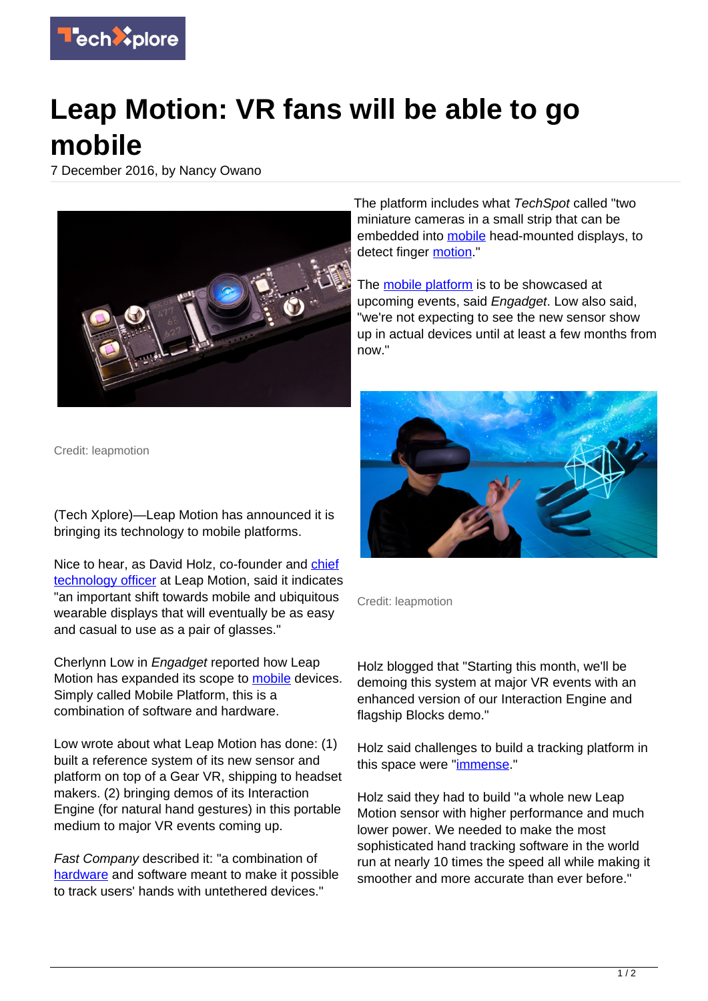

## **Leap Motion: VR fans will be able to go mobile**

7 December 2016, by Nancy Owano



Credit: leapmotion

(Tech Xplore)—Leap Motion has announced it is bringing its technology to mobile platforms.

Nice to hear, as David Holz, co-founder and [chief](https://techxplore.com/tags/chief+technology+officer/) [technology officer](https://techxplore.com/tags/chief+technology+officer/) at Leap Motion, said it indicates "an important shift towards mobile and ubiquitous wearable displays that will eventually be as easy and casual to use as a pair of glasses."

Cherlynn Low in Engadget reported how Leap Motion has expanded its scope to [mobile](https://www.engadget.com/2016/12/05/leap-motion-will-bring-your-hands-into-mobile-vr/) devices. Simply called Mobile Platform, this is a combination of software and hardware.

Low wrote about what Leap Motion has done: (1) built a reference system of its new sensor and platform on top of a Gear VR, shipping to headset makers. (2) bringing demos of its Interaction Engine (for natural hand gestures) in this portable medium to major VR events coming up.

Fast Company described it: "a combination of [hardware](https://news.fastcompany.com/leap-motion-bringing-hand-tracking-to-mobile-vr-4026468) and software meant to make it possible to track users' hands with untethered devices."

The platform includes what TechSpot called "two miniature cameras in a small strip that can be embedded into [mobile](https://techxplore.com/tags/mobile/) head-mounted displays, to detect finger [motion](http://www.techspot.com/news/67279-leap-motion-brings-hand-tracking-tech-mobile-vr.html)."

The [mobile platform](https://techxplore.com/tags/mobile+platform/) is to be showcased at upcoming events, said Engadget. Low also said, "we're not expecting to see the new sensor show up in actual devices until at least a few months from now."



Credit: leapmotion

Holz blogged that "Starting this month, we'll be demoing this system at major VR events with an enhanced version of our Interaction Engine and flagship Blocks demo."

Holz said challenges to build a tracking platform in this space were "[immense](http://blog.leapmotion.com/mobile-platform/)."

Holz said they had to build "a whole new Leap Motion sensor with higher performance and much lower power. We needed to make the most sophisticated hand tracking software in the world run at nearly 10 times the speed all while making it smoother and more accurate than ever before."